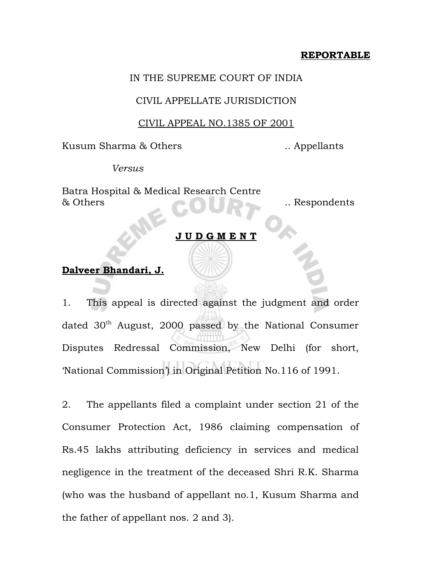#### **REPORTABLE**

### IN THE SUPREME COURT OF INDIA

#### CIVIL APPELLATE JURISDICTION

#### CIVIL APPEAL NO.1385 OF 2001

Kusum Sharma & Others ... Appellants

*Versus*

Batra Hospital & Medical Research Centre & Others ... Respondents

#### **J U D G M E N T**

## **Dalveer Bhandari, J.**

1. This appeal is directed against the judgment and order dated  $30<sup>th</sup>$  August, 2000 passed by the National Consumer Disputes Redressal Commission, New Delhi (for short, 'National Commission') in Original Petition No.116 of 1991.

2. The appellants filed a complaint under section 21 of the Consumer Protection Act, 1986 claiming compensation of Rs.45 lakhs attributing deficiency in services and medical negligence in the treatment of the deceased Shri R.K. Sharma (who was the husband of appellant no.1, Kusum Sharma and the father of appellant nos. 2 and 3).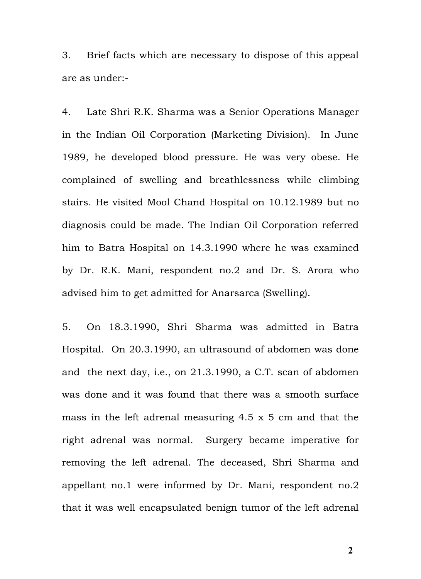3. Brief facts which are necessary to dispose of this appeal are as under:-

4. Late Shri R.K. Sharma was a Senior Operations Manager in the Indian Oil Corporation (Marketing Division). In June 1989, he developed blood pressure. He was very obese. He complained of swelling and breathlessness while climbing stairs. He visited Mool Chand Hospital on 10.12.1989 but no diagnosis could be made. The Indian Oil Corporation referred him to Batra Hospital on 14.3.1990 where he was examined by Dr. R.K. Mani, respondent no.2 and Dr. S. Arora who advised him to get admitted for Anarsarca (Swelling).

5. On 18.3.1990, Shri Sharma was admitted in Batra Hospital. On 20.3.1990, an ultrasound of abdomen was done and the next day, i.e., on 21.3.1990, a C.T. scan of abdomen was done and it was found that there was a smooth surface mass in the left adrenal measuring 4.5 x 5 cm and that the right adrenal was normal. Surgery became imperative for removing the left adrenal. The deceased, Shri Sharma and appellant no.1 were informed by Dr. Mani, respondent no.2 that it was well encapsulated benign tumor of the left adrenal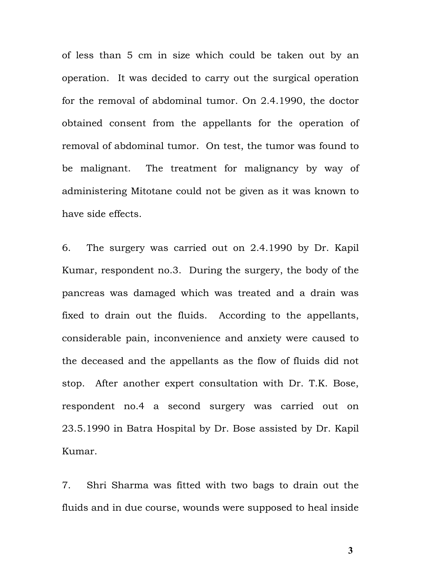of less than 5 cm in size which could be taken out by an operation. It was decided to carry out the surgical operation for the removal of abdominal tumor. On 2.4.1990, the doctor obtained consent from the appellants for the operation of removal of abdominal tumor. On test, the tumor was found to be malignant. The treatment for malignancy by way of administering Mitotane could not be given as it was known to have side effects.

6. The surgery was carried out on 2.4.1990 by Dr. Kapil Kumar, respondent no.3. During the surgery, the body of the pancreas was damaged which was treated and a drain was fixed to drain out the fluids. According to the appellants, considerable pain, inconvenience and anxiety were caused to the deceased and the appellants as the flow of fluids did not stop. After another expert consultation with Dr. T.K. Bose, respondent no.4 a second surgery was carried out on 23.5.1990 in Batra Hospital by Dr. Bose assisted by Dr. Kapil Kumar.

7. Shri Sharma was fitted with two bags to drain out the fluids and in due course, wounds were supposed to heal inside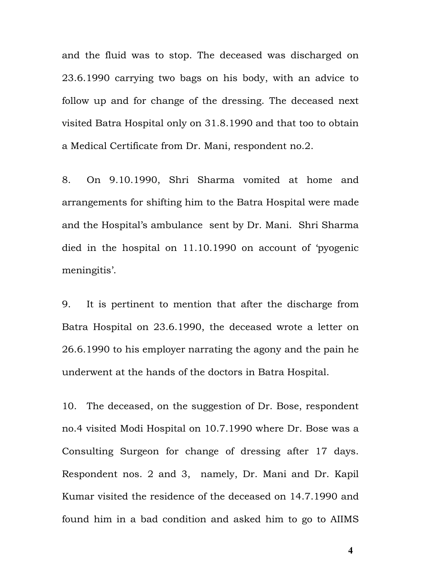and the fluid was to stop. The deceased was discharged on 23.6.1990 carrying two bags on his body, with an advice to follow up and for change of the dressing. The deceased next visited Batra Hospital only on 31.8.1990 and that too to obtain a Medical Certificate from Dr. Mani, respondent no.2.

8. On 9.10.1990, Shri Sharma vomited at home and arrangements for shifting him to the Batra Hospital were made and the Hospital's ambulance sent by Dr. Mani. Shri Sharma died in the hospital on 11.10.1990 on account of 'pyogenic meningitis'.

9. It is pertinent to mention that after the discharge from Batra Hospital on 23.6.1990, the deceased wrote a letter on 26.6.1990 to his employer narrating the agony and the pain he underwent at the hands of the doctors in Batra Hospital.

10. The deceased, on the suggestion of Dr. Bose, respondent no.4 visited Modi Hospital on 10.7.1990 where Dr. Bose was a Consulting Surgeon for change of dressing after 17 days. Respondent nos. 2 and 3, namely, Dr. Mani and Dr. Kapil Kumar visited the residence of the deceased on 14.7.1990 and found him in a bad condition and asked him to go to AIIMS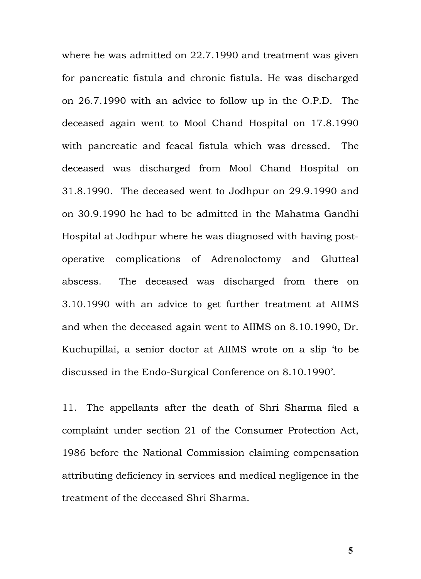where he was admitted on 22.7.1990 and treatment was given for pancreatic fistula and chronic fistula. He was discharged on 26.7.1990 with an advice to follow up in the O.P.D. The deceased again went to Mool Chand Hospital on 17.8.1990 with pancreatic and feacal fistula which was dressed. The deceased was discharged from Mool Chand Hospital on 31.8.1990. The deceased went to Jodhpur on 29.9.1990 and on 30.9.1990 he had to be admitted in the Mahatma Gandhi Hospital at Jodhpur where he was diagnosed with having postoperative complications of Adrenoloctomy and Glutteal abscess. The deceased was discharged from there on 3.10.1990 with an advice to get further treatment at AIIMS and when the deceased again went to AIIMS on 8.10.1990, Dr. Kuchupillai, a senior doctor at AIIMS wrote on a slip 'to be discussed in the Endo-Surgical Conference on 8.10.1990'.

11. The appellants after the death of Shri Sharma filed a complaint under section 21 of the Consumer Protection Act, 1986 before the National Commission claiming compensation attributing deficiency in services and medical negligence in the treatment of the deceased Shri Sharma.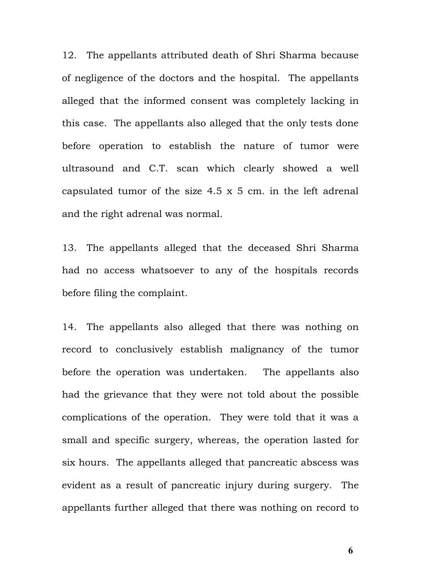12. The appellants attributed death of Shri Sharma because of negligence of the doctors and the hospital. The appellants alleged that the informed consent was completely lacking in this case. The appellants also alleged that the only tests done before operation to establish the nature of tumor were ultrasound and C.T. scan which clearly showed a well capsulated tumor of the size 4.5 x 5 cm. in the left adrenal and the right adrenal was normal.

13. The appellants alleged that the deceased Shri Sharma had no access whatsoever to any of the hospitals records before filing the complaint.

14. The appellants also alleged that there was nothing on record to conclusively establish malignancy of the tumor before the operation was undertaken. The appellants also had the grievance that they were not told about the possible complications of the operation. They were told that it was a small and specific surgery, whereas, the operation lasted for six hours. The appellants alleged that pancreatic abscess was evident as a result of pancreatic injury during surgery. The appellants further alleged that there was nothing on record to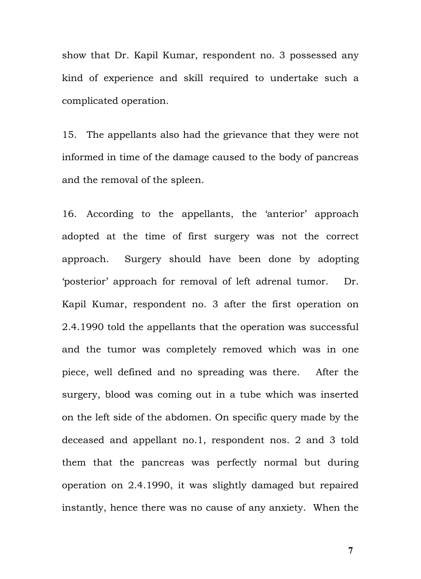show that Dr. Kapil Kumar, respondent no. 3 possessed any kind of experience and skill required to undertake such a complicated operation.

15. The appellants also had the grievance that they were not informed in time of the damage caused to the body of pancreas and the removal of the spleen.

16. According to the appellants, the 'anterior' approach adopted at the time of first surgery was not the correct approach. Surgery should have been done by adopting 'posterior' approach for removal of left adrenal tumor. Dr. Kapil Kumar, respondent no. 3 after the first operation on 2.4.1990 told the appellants that the operation was successful and the tumor was completely removed which was in one piece, well defined and no spreading was there. After the surgery, blood was coming out in a tube which was inserted on the left side of the abdomen. On specific query made by the deceased and appellant no.1, respondent nos. 2 and 3 told them that the pancreas was perfectly normal but during operation on 2.4.1990, it was slightly damaged but repaired instantly, hence there was no cause of any anxiety. When the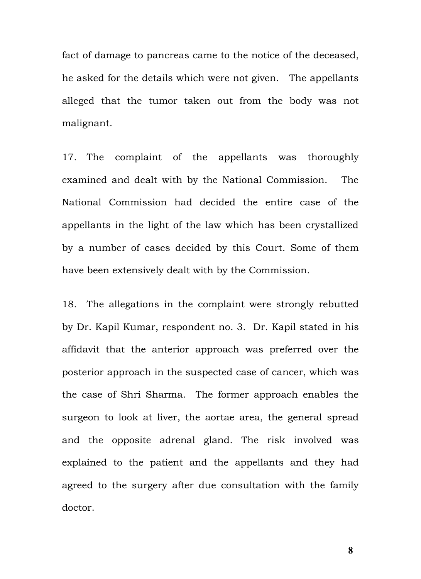fact of damage to pancreas came to the notice of the deceased, he asked for the details which were not given. The appellants alleged that the tumor taken out from the body was not malignant.

17. The complaint of the appellants was thoroughly examined and dealt with by the National Commission. The National Commission had decided the entire case of the appellants in the light of the law which has been crystallized by a number of cases decided by this Court. Some of them have been extensively dealt with by the Commission.

18. The allegations in the complaint were strongly rebutted by Dr. Kapil Kumar, respondent no. 3. Dr. Kapil stated in his affidavit that the anterior approach was preferred over the posterior approach in the suspected case of cancer, which was the case of Shri Sharma. The former approach enables the surgeon to look at liver, the aortae area, the general spread and the opposite adrenal gland. The risk involved was explained to the patient and the appellants and they had agreed to the surgery after due consultation with the family doctor.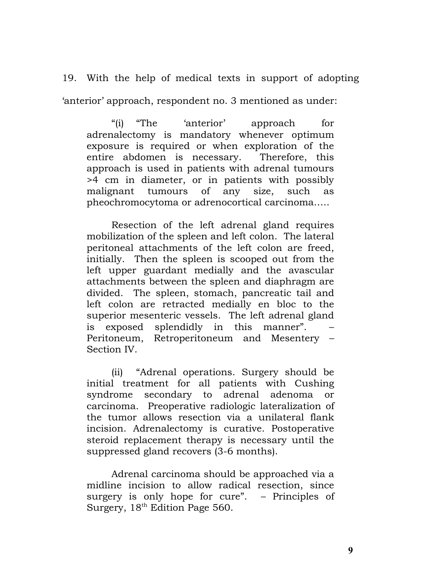19. With the help of medical texts in support of adopting 'anterior' approach, respondent no. 3 mentioned as under:

"(i) "The 'anterior' approach for adrenalectomy is mandatory whenever optimum exposure is required or when exploration of the entire abdomen is necessary. Therefore, this approach is used in patients with adrenal tumours >4 cm in diameter, or in patients with possibly malignant tumours of any size, such as pheochromocytoma or adrenocortical carcinoma…..

Resection of the left adrenal gland requires mobilization of the spleen and left colon. The lateral peritoneal attachments of the left colon are freed, initially. Then the spleen is scooped out from the left upper guardant medially and the avascular attachments between the spleen and diaphragm are divided. The spleen, stomach, pancreatic tail and left colon are retracted medially en bloc to the superior mesenteric vessels. The left adrenal gland is exposed splendidly in this manner". Peritoneum, Retroperitoneum and Mesentery – Section IV.

(ii) "Adrenal operations. Surgery should be initial treatment for all patients with Cushing syndrome secondary to adrenal adenoma or carcinoma. Preoperative radiologic lateralization of the tumor allows resection via a unilateral flank incision. Adrenalectomy is curative. Postoperative steroid replacement therapy is necessary until the suppressed gland recovers (3-6 months).

Adrenal carcinoma should be approached via a midline incision to allow radical resection, since surgery is only hope for cure". – Principles of Surgery, 18<sup>th</sup> Edition Page 560.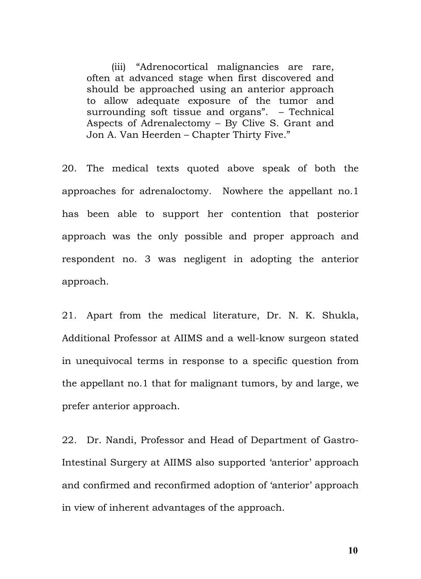(iii) "Adrenocortical malignancies are rare, often at advanced stage when first discovered and should be approached using an anterior approach to allow adequate exposure of the tumor and surrounding soft tissue and organs". – Technical Aspects of Adrenalectomy – By Clive S. Grant and Jon A. Van Heerden – Chapter Thirty Five."

20. The medical texts quoted above speak of both the approaches for adrenaloctomy. Nowhere the appellant no.1 has been able to support her contention that posterior approach was the only possible and proper approach and respondent no. 3 was negligent in adopting the anterior approach.

21. Apart from the medical literature, Dr. N. K. Shukla, Additional Professor at AIIMS and a well-know surgeon stated in unequivocal terms in response to a specific question from the appellant no.1 that for malignant tumors, by and large, we prefer anterior approach.

22. Dr. Nandi, Professor and Head of Department of Gastro-Intestinal Surgery at AIIMS also supported 'anterior' approach and confirmed and reconfirmed adoption of 'anterior' approach in view of inherent advantages of the approach.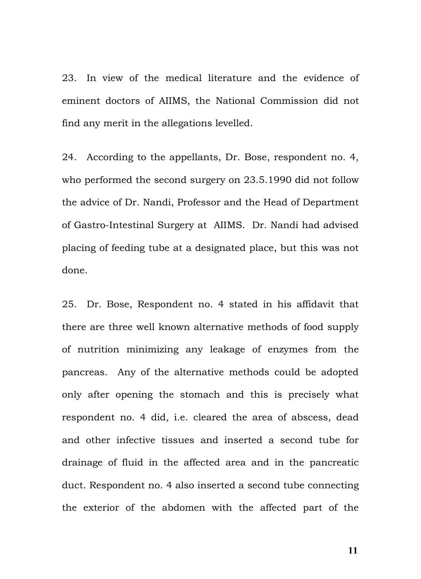23. In view of the medical literature and the evidence of eminent doctors of AIIMS, the National Commission did not find any merit in the allegations levelled.

24. According to the appellants, Dr. Bose, respondent no. 4, who performed the second surgery on 23.5.1990 did not follow the advice of Dr. Nandi, Professor and the Head of Department of Gastro-Intestinal Surgery at AIIMS. Dr. Nandi had advised placing of feeding tube at a designated place, but this was not done.

25. Dr. Bose, Respondent no. 4 stated in his affidavit that there are three well known alternative methods of food supply of nutrition minimizing any leakage of enzymes from the pancreas. Any of the alternative methods could be adopted only after opening the stomach and this is precisely what respondent no. 4 did, i.e. cleared the area of abscess, dead and other infective tissues and inserted a second tube for drainage of fluid in the affected area and in the pancreatic duct. Respondent no. 4 also inserted a second tube connecting the exterior of the abdomen with the affected part of the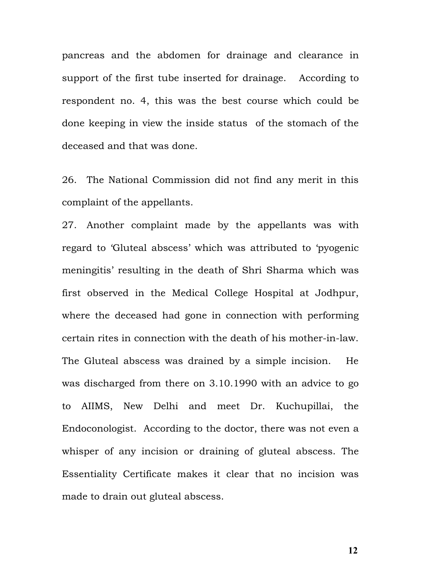pancreas and the abdomen for drainage and clearance in support of the first tube inserted for drainage. According to respondent no. 4, this was the best course which could be done keeping in view the inside status of the stomach of the deceased and that was done.

26. The National Commission did not find any merit in this complaint of the appellants.

27. Another complaint made by the appellants was with regard to 'Gluteal abscess' which was attributed to 'pyogenic meningitis' resulting in the death of Shri Sharma which was first observed in the Medical College Hospital at Jodhpur, where the deceased had gone in connection with performing certain rites in connection with the death of his mother-in-law. The Gluteal abscess was drained by a simple incision. He was discharged from there on 3.10.1990 with an advice to go to AIIMS, New Delhi and meet Dr. Kuchupillai, the Endoconologist. According to the doctor, there was not even a whisper of any incision or draining of gluteal abscess. The Essentiality Certificate makes it clear that no incision was made to drain out gluteal abscess.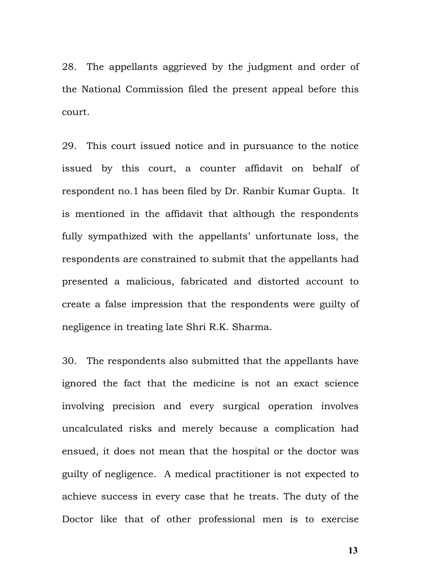28. The appellants aggrieved by the judgment and order of the National Commission filed the present appeal before this court.

29. This court issued notice and in pursuance to the notice issued by this court, a counter affidavit on behalf of respondent no.1 has been filed by Dr. Ranbir Kumar Gupta. It is mentioned in the affidavit that although the respondents fully sympathized with the appellants' unfortunate loss, the respondents are constrained to submit that the appellants had presented a malicious, fabricated and distorted account to create a false impression that the respondents were guilty of negligence in treating late Shri R.K. Sharma.

30. The respondents also submitted that the appellants have ignored the fact that the medicine is not an exact science involving precision and every surgical operation involves uncalculated risks and merely because a complication had ensued, it does not mean that the hospital or the doctor was guilty of negligence. A medical practitioner is not expected to achieve success in every case that he treats. The duty of the Doctor like that of other professional men is to exercise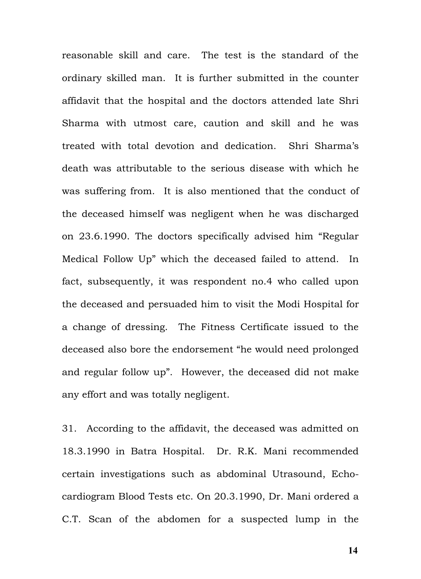reasonable skill and care. The test is the standard of the ordinary skilled man. It is further submitted in the counter affidavit that the hospital and the doctors attended late Shri Sharma with utmost care, caution and skill and he was treated with total devotion and dedication. Shri Sharma's death was attributable to the serious disease with which he was suffering from. It is also mentioned that the conduct of the deceased himself was negligent when he was discharged on 23.6.1990. The doctors specifically advised him "Regular Medical Follow Up" which the deceased failed to attend. In fact, subsequently, it was respondent no.4 who called upon the deceased and persuaded him to visit the Modi Hospital for a change of dressing. The Fitness Certificate issued to the deceased also bore the endorsement "he would need prolonged and regular follow up". However, the deceased did not make any effort and was totally negligent.

31. According to the affidavit, the deceased was admitted on 18.3.1990 in Batra Hospital. Dr. R.K. Mani recommended certain investigations such as abdominal Utrasound, Echocardiogram Blood Tests etc. On 20.3.1990, Dr. Mani ordered a C.T. Scan of the abdomen for a suspected lump in the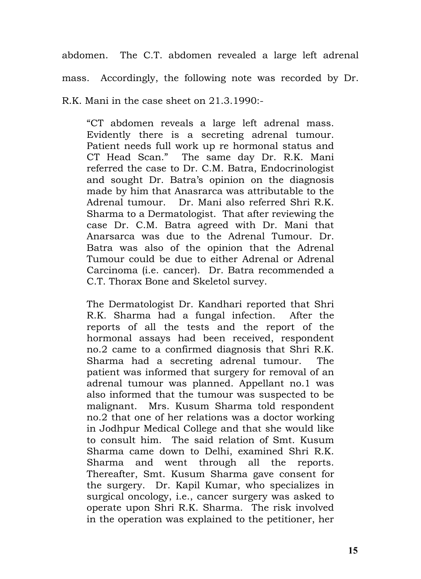abdomen. The C.T. abdomen revealed a large left adrenal

mass. Accordingly, the following note was recorded by Dr.

R.K. Mani in the case sheet on 21.3.1990:-

"CT abdomen reveals a large left adrenal mass. Evidently there is a secreting adrenal tumour. Patient needs full work up re hormonal status and CT Head Scan." The same day Dr. R.K. Mani referred the case to Dr. C.M. Batra, Endocrinologist and sought Dr. Batra's opinion on the diagnosis made by him that Anasrarca was attributable to the Adrenal tumour. Dr. Mani also referred Shri R.K. Sharma to a Dermatologist. That after reviewing the case Dr. C.M. Batra agreed with Dr. Mani that Anarsarca was due to the Adrenal Tumour. Dr. Batra was also of the opinion that the Adrenal Tumour could be due to either Adrenal or Adrenal Carcinoma (i.e. cancer). Dr. Batra recommended a C.T. Thorax Bone and Skeletol survey.

The Dermatologist Dr. Kandhari reported that Shri R.K. Sharma had a fungal infection. After the reports of all the tests and the report of the hormonal assays had been received, respondent no.2 came to a confirmed diagnosis that Shri R.K. Sharma had a secreting adrenal tumour. The patient was informed that surgery for removal of an adrenal tumour was planned. Appellant no.1 was also informed that the tumour was suspected to be malignant. Mrs. Kusum Sharma told respondent no.2 that one of her relations was a doctor working in Jodhpur Medical College and that she would like to consult him. The said relation of Smt. Kusum Sharma came down to Delhi, examined Shri R.K. Sharma and went through all the reports. Thereafter, Smt. Kusum Sharma gave consent for the surgery. Dr. Kapil Kumar, who specializes in surgical oncology, i.e., cancer surgery was asked to operate upon Shri R.K. Sharma. The risk involved in the operation was explained to the petitioner, her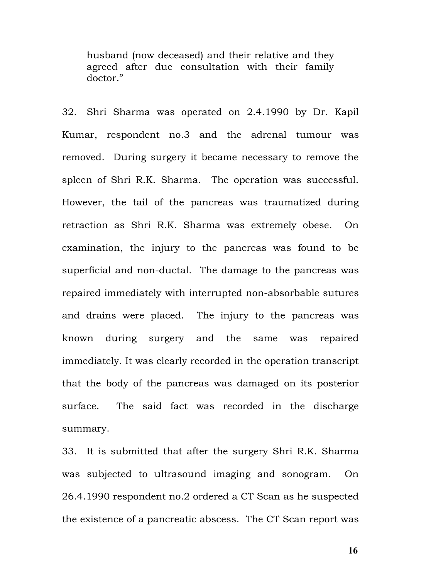husband (now deceased) and their relative and they agreed after due consultation with their family doctor."

32. Shri Sharma was operated on 2.4.1990 by Dr. Kapil Kumar, respondent no.3 and the adrenal tumour was removed. During surgery it became necessary to remove the spleen of Shri R.K. Sharma. The operation was successful. However, the tail of the pancreas was traumatized during retraction as Shri R.K. Sharma was extremely obese. On examination, the injury to the pancreas was found to be superficial and non-ductal. The damage to the pancreas was repaired immediately with interrupted non-absorbable sutures and drains were placed. The injury to the pancreas was known during surgery and the same was repaired immediately. It was clearly recorded in the operation transcript that the body of the pancreas was damaged on its posterior surface. The said fact was recorded in the discharge summary.

33. It is submitted that after the surgery Shri R.K. Sharma was subjected to ultrasound imaging and sonogram. On 26.4.1990 respondent no.2 ordered a CT Scan as he suspected the existence of a pancreatic abscess. The CT Scan report was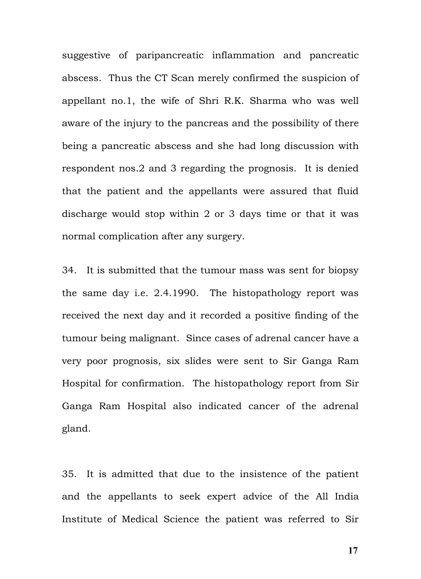suggestive of paripancreatic inflammation and pancreatic abscess. Thus the CT Scan merely confirmed the suspicion of appellant no.1, the wife of Shri R.K. Sharma who was well aware of the injury to the pancreas and the possibility of there being a pancreatic abscess and she had long discussion with respondent nos.2 and 3 regarding the prognosis. It is denied that the patient and the appellants were assured that fluid discharge would stop within 2 or 3 days time or that it was normal complication after any surgery.

34. It is submitted that the tumour mass was sent for biopsy the same day i.e. 2.4.1990. The histopathology report was received the next day and it recorded a positive finding of the tumour being malignant. Since cases of adrenal cancer have a very poor prognosis, six slides were sent to Sir Ganga Ram Hospital for confirmation. The histopathology report from Sir Ganga Ram Hospital also indicated cancer of the adrenal gland.

35. It is admitted that due to the insistence of the patient and the appellants to seek expert advice of the All India Institute of Medical Science the patient was referred to Sir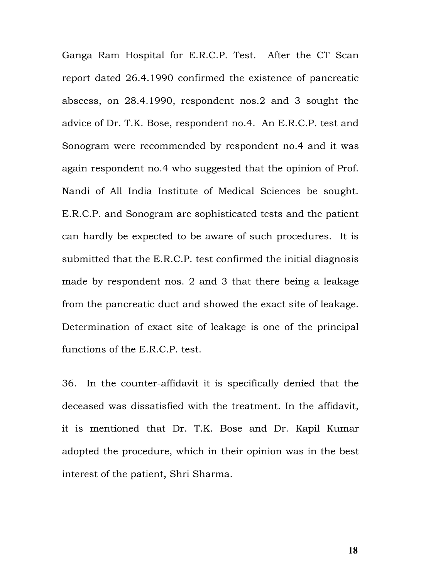Ganga Ram Hospital for E.R.C.P. Test. After the CT Scan report dated 26.4.1990 confirmed the existence of pancreatic abscess, on 28.4.1990, respondent nos.2 and 3 sought the advice of Dr. T.K. Bose, respondent no.4. An E.R.C.P. test and Sonogram were recommended by respondent no.4 and it was again respondent no.4 who suggested that the opinion of Prof. Nandi of All India Institute of Medical Sciences be sought. E.R.C.P. and Sonogram are sophisticated tests and the patient can hardly be expected to be aware of such procedures. It is submitted that the E.R.C.P. test confirmed the initial diagnosis made by respondent nos. 2 and 3 that there being a leakage from the pancreatic duct and showed the exact site of leakage. Determination of exact site of leakage is one of the principal functions of the E.R.C.P. test.

36. In the counter-affidavit it is specifically denied that the deceased was dissatisfied with the treatment. In the affidavit, it is mentioned that Dr. T.K. Bose and Dr. Kapil Kumar adopted the procedure, which in their opinion was in the best interest of the patient, Shri Sharma.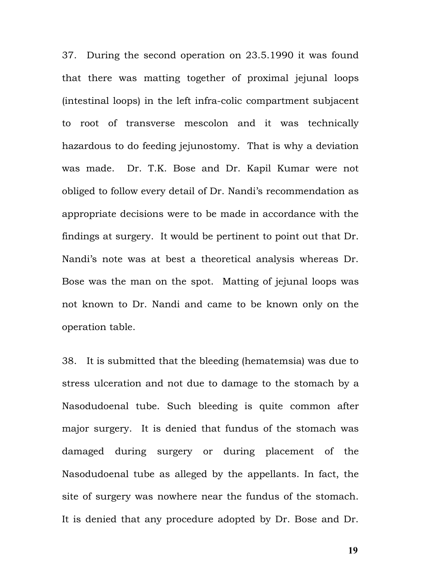37. During the second operation on 23.5.1990 it was found that there was matting together of proximal jejunal loops (intestinal loops) in the left infra-colic compartment subjacent to root of transverse mescolon and it was technically hazardous to do feeding jejunostomy. That is why a deviation was made. Dr. T.K. Bose and Dr. Kapil Kumar were not obliged to follow every detail of Dr. Nandi's recommendation as appropriate decisions were to be made in accordance with the findings at surgery. It would be pertinent to point out that Dr. Nandi's note was at best a theoretical analysis whereas Dr. Bose was the man on the spot. Matting of jejunal loops was not known to Dr. Nandi and came to be known only on the operation table.

38. It is submitted that the bleeding (hematemsia) was due to stress ulceration and not due to damage to the stomach by a Nasodudoenal tube. Such bleeding is quite common after major surgery. It is denied that fundus of the stomach was damaged during surgery or during placement of the Nasodudoenal tube as alleged by the appellants. In fact, the site of surgery was nowhere near the fundus of the stomach. It is denied that any procedure adopted by Dr. Bose and Dr.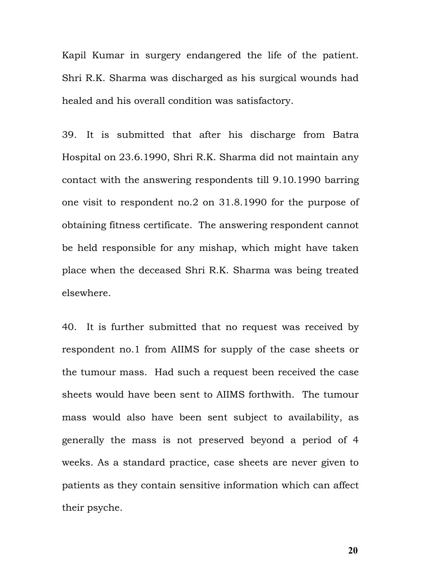Kapil Kumar in surgery endangered the life of the patient. Shri R.K. Sharma was discharged as his surgical wounds had healed and his overall condition was satisfactory.

39. It is submitted that after his discharge from Batra Hospital on 23.6.1990, Shri R.K. Sharma did not maintain any contact with the answering respondents till 9.10.1990 barring one visit to respondent no.2 on 31.8.1990 for the purpose of obtaining fitness certificate. The answering respondent cannot be held responsible for any mishap, which might have taken place when the deceased Shri R.K. Sharma was being treated elsewhere.

40. It is further submitted that no request was received by respondent no.1 from AIIMS for supply of the case sheets or the tumour mass. Had such a request been received the case sheets would have been sent to AIIMS forthwith. The tumour mass would also have been sent subject to availability, as generally the mass is not preserved beyond a period of 4 weeks. As a standard practice, case sheets are never given to patients as they contain sensitive information which can affect their psyche.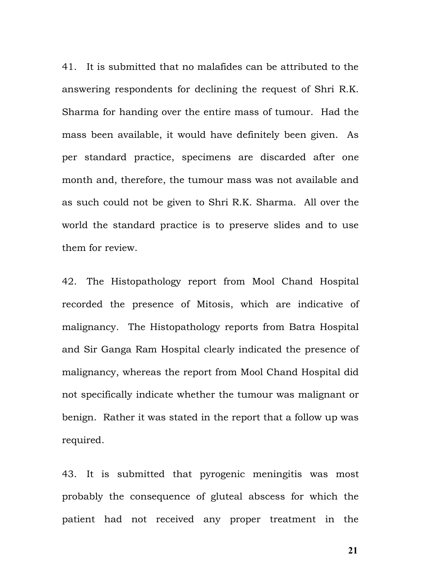41. It is submitted that no malafides can be attributed to the answering respondents for declining the request of Shri R.K. Sharma for handing over the entire mass of tumour. Had the mass been available, it would have definitely been given. As per standard practice, specimens are discarded after one month and, therefore, the tumour mass was not available and as such could not be given to Shri R.K. Sharma. All over the world the standard practice is to preserve slides and to use them for review.

42. The Histopathology report from Mool Chand Hospital recorded the presence of Mitosis, which are indicative of malignancy. The Histopathology reports from Batra Hospital and Sir Ganga Ram Hospital clearly indicated the presence of malignancy, whereas the report from Mool Chand Hospital did not specifically indicate whether the tumour was malignant or benign. Rather it was stated in the report that a follow up was required.

43. It is submitted that pyrogenic meningitis was most probably the consequence of gluteal abscess for which the patient had not received any proper treatment in the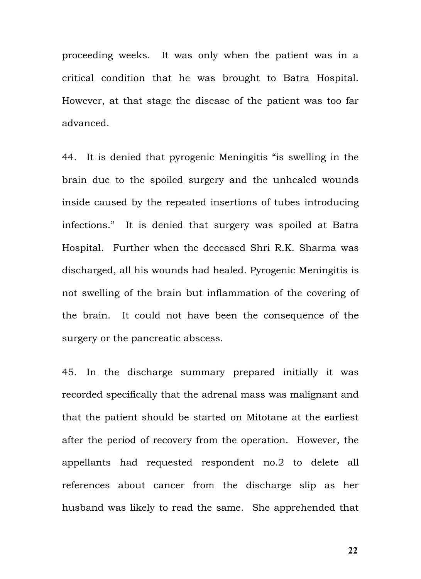proceeding weeks. It was only when the patient was in a critical condition that he was brought to Batra Hospital. However, at that stage the disease of the patient was too far advanced.

44. It is denied that pyrogenic Meningitis "is swelling in the brain due to the spoiled surgery and the unhealed wounds inside caused by the repeated insertions of tubes introducing infections." It is denied that surgery was spoiled at Batra Hospital. Further when the deceased Shri R.K. Sharma was discharged, all his wounds had healed. Pyrogenic Meningitis is not swelling of the brain but inflammation of the covering of the brain. It could not have been the consequence of the surgery or the pancreatic abscess.

45. In the discharge summary prepared initially it was recorded specifically that the adrenal mass was malignant and that the patient should be started on Mitotane at the earliest after the period of recovery from the operation. However, the appellants had requested respondent no.2 to delete all references about cancer from the discharge slip as her husband was likely to read the same. She apprehended that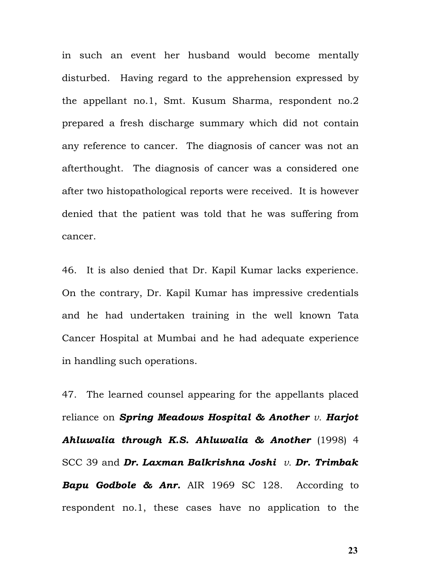in such an event her husband would become mentally disturbed. Having regard to the apprehension expressed by the appellant no.1, Smt. Kusum Sharma, respondent no.2 prepared a fresh discharge summary which did not contain any reference to cancer. The diagnosis of cancer was not an afterthought. The diagnosis of cancer was a considered one after two histopathological reports were received. It is however denied that the patient was told that he was suffering from cancer.

46. It is also denied that Dr. Kapil Kumar lacks experience. On the contrary, Dr. Kapil Kumar has impressive credentials and he had undertaken training in the well known Tata Cancer Hospital at Mumbai and he had adequate experience in handling such operations.

47. The learned counsel appearing for the appellants placed reliance on *Spring Meadows Hospital & Another v. Harjot Ahluwalia through K.S. Ahluwalia & Another* (1998) 4 SCC 39 and *Dr. Laxman Balkrishna Joshi v. Dr. Trimbak Bapu Godbole & Anr.* AIR 1969 SC 128. According to respondent no.1, these cases have no application to the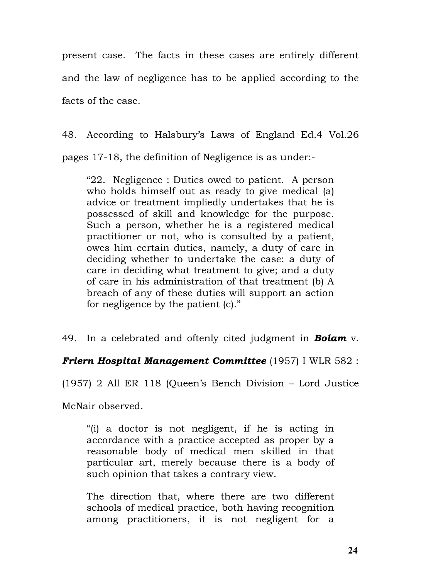present case. The facts in these cases are entirely different and the law of negligence has to be applied according to the facts of the case.

48. According to Halsbury's Laws of England Ed.4 Vol.26 pages 17-18, the definition of Negligence is as under:-

"22. Negligence : Duties owed to patient. A person who holds himself out as ready to give medical (a) advice or treatment impliedly undertakes that he is possessed of skill and knowledge for the purpose. Such a person, whether he is a registered medical practitioner or not, who is consulted by a patient, owes him certain duties, namely, a duty of care in deciding whether to undertake the case: a duty of care in deciding what treatment to give; and a duty of care in his administration of that treatment (b) A breach of any of these duties will support an action for negligence by the patient (c)."

49. In a celebrated and oftenly cited judgment in *Bolam* v.

*Friern Hospital Management Committee* (1957) I WLR 582 :

(1957) 2 All ER 118 (Queen's Bench Division – Lord Justice

McNair observed.

"(i) a doctor is not negligent, if he is acting in accordance with a practice accepted as proper by a reasonable body of medical men skilled in that particular art, merely because there is a body of such opinion that takes a contrary view.

The direction that, where there are two different schools of medical practice, both having recognition among practitioners, it is not negligent for a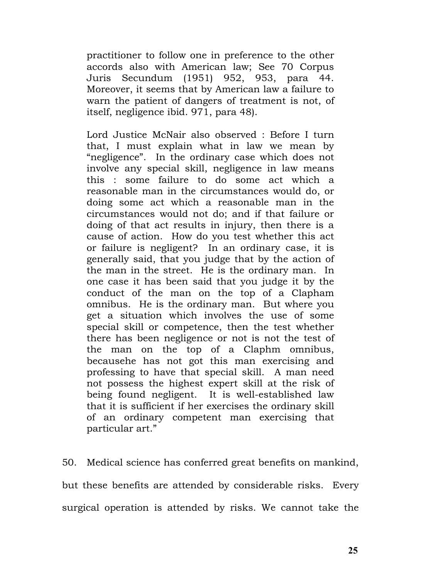practitioner to follow one in preference to the other accords also with American law; See 70 Corpus Juris Secundum (1951) 952, 953, para 44. Moreover, it seems that by American law a failure to warn the patient of dangers of treatment is not, of itself, negligence ibid. 971, para 48).

Lord Justice McNair also observed : Before I turn that, I must explain what in law we mean by "negligence". In the ordinary case which does not involve any special skill, negligence in law means this : some failure to do some act which a reasonable man in the circumstances would do, or doing some act which a reasonable man in the circumstances would not do; and if that failure or doing of that act results in injury, then there is a cause of action. How do you test whether this act or failure is negligent? In an ordinary case, it is generally said, that you judge that by the action of the man in the street. He is the ordinary man. In one case it has been said that you judge it by the conduct of the man on the top of a Clapham omnibus. He is the ordinary man. But where you get a situation which involves the use of some special skill or competence, then the test whether there has been negligence or not is not the test of the man on the top of a Claphm omnibus, becausehe has not got this man exercising and professing to have that special skill. A man need not possess the highest expert skill at the risk of being found negligent. It is well-established law that it is sufficient if her exercises the ordinary skill of an ordinary competent man exercising that particular art."

50. Medical science has conferred great benefits on mankind, but these benefits are attended by considerable risks. Every surgical operation is attended by risks. We cannot take the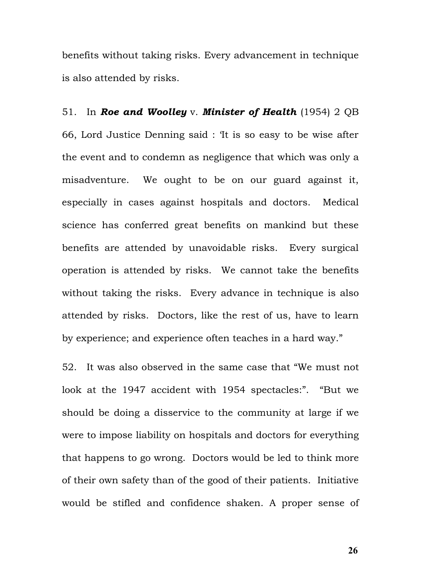benefits without taking risks. Every advancement in technique is also attended by risks.

51. In *Roe and Woolley* v. *Minister of Health* (1954) 2 QB 66, Lord Justice Denning said : 'It is so easy to be wise after the event and to condemn as negligence that which was only a misadventure. We ought to be on our guard against it, especially in cases against hospitals and doctors. Medical science has conferred great benefits on mankind but these benefits are attended by unavoidable risks. Every surgical operation is attended by risks. We cannot take the benefits without taking the risks. Every advance in technique is also attended by risks. Doctors, like the rest of us, have to learn by experience; and experience often teaches in a hard way."

52. It was also observed in the same case that "We must not look at the 1947 accident with 1954 spectacles:". "But we should be doing a disservice to the community at large if we were to impose liability on hospitals and doctors for everything that happens to go wrong. Doctors would be led to think more of their own safety than of the good of their patients. Initiative would be stifled and confidence shaken. A proper sense of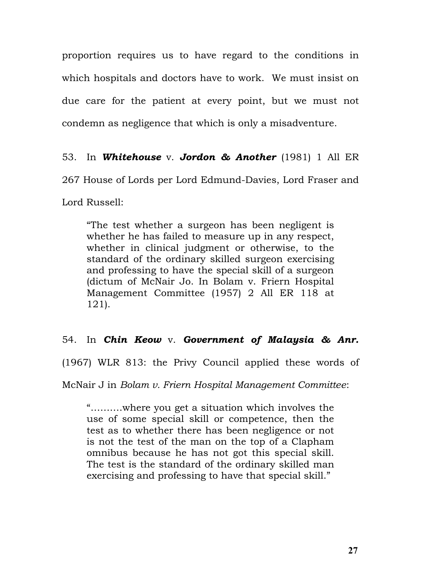proportion requires us to have regard to the conditions in which hospitals and doctors have to work. We must insist on due care for the patient at every point, but we must not condemn as negligence that which is only a misadventure.

## 53. In *Whitehouse* v. *Jordon & Another* (1981) 1 All ER

267 House of Lords per Lord Edmund-Davies, Lord Fraser and

Lord Russell:

"The test whether a surgeon has been negligent is whether he has failed to measure up in any respect, whether in clinical judgment or otherwise, to the standard of the ordinary skilled surgeon exercising and professing to have the special skill of a surgeon (dictum of McNair Jo. In Bolam v. Friern Hospital Management Committee (1957) 2 All ER 118 at 121).

## 54. In *Chin Keow* v. *Government of Malaysia & Anr.*

(1967) WLR 813: the Privy Council applied these words of

McNair J in *Bolam v. Friern Hospital Management Committee*:

"……….where you get a situation which involves the use of some special skill or competence, then the test as to whether there has been negligence or not is not the test of the man on the top of a Clapham omnibus because he has not got this special skill. The test is the standard of the ordinary skilled man exercising and professing to have that special skill."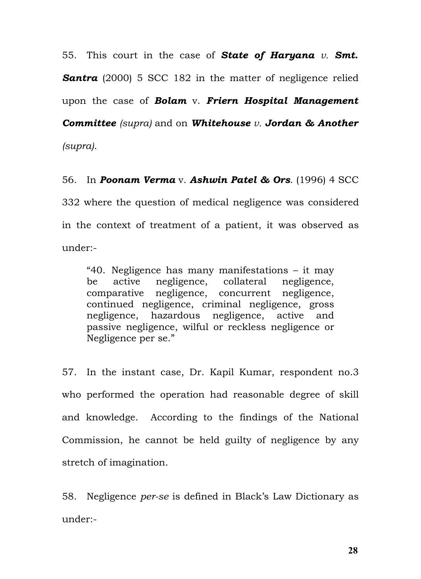55. This court in the case of *State of Haryana v. Smt.* **Santra** (2000) 5 SCC 182 in the matter of negligence relied upon the case of *Bolam* v. *Friern Hospital Management Committee (supra)* and on *Whitehouse v. Jordan & Another (supra)*.

56. In *Poonam Verma* v. *Ashwin Patel & Ors*. (1996) 4 SCC 332 where the question of medical negligence was considered in the context of treatment of a patient, it was observed as under:-

"40. Negligence has many manifestations – it may be active negligence, collateral negligence, comparative negligence, concurrent negligence, continued negligence, criminal negligence, gross negligence, hazardous negligence, active and passive negligence, wilful or reckless negligence or Negligence per se."

57. In the instant case, Dr. Kapil Kumar, respondent no.3 who performed the operation had reasonable degree of skill and knowledge. According to the findings of the National Commission, he cannot be held guilty of negligence by any stretch of imagination.

58. Negligence *per-se* is defined in Black's Law Dictionary as under:-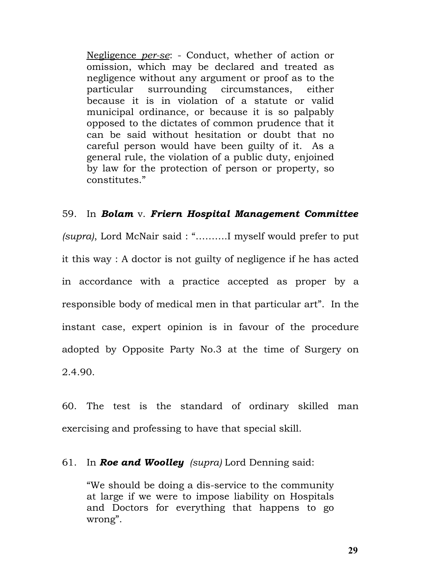Negligence *per-se*: - Conduct, whether of action or omission, which may be declared and treated as negligence without any argument or proof as to the particular surrounding circumstances, either because it is in violation of a statute or valid municipal ordinance, or because it is so palpably opposed to the dictates of common prudence that it can be said without hesitation or doubt that no careful person would have been guilty of it. As a general rule, the violation of a public duty, enjoined by law for the protection of person or property, so constitutes."

#### 59. In *Bolam* v. *Friern Hospital Management Committee*

*(supra)*, Lord McNair said : "……….I myself would prefer to put it this way : A doctor is not guilty of negligence if he has acted in accordance with a practice accepted as proper by a responsible body of medical men in that particular art". In the instant case, expert opinion is in favour of the procedure adopted by Opposite Party No.3 at the time of Surgery on 2.4.90.

60. The test is the standard of ordinary skilled man exercising and professing to have that special skill.

#### 61. In *Roe and Woolley (supra)* Lord Denning said:

"We should be doing a dis-service to the community at large if we were to impose liability on Hospitals and Doctors for everything that happens to go wrong".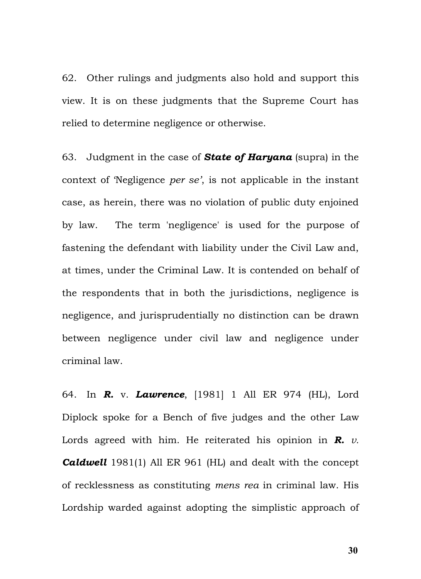62. Other rulings and judgments also hold and support this view. It is on these judgments that the Supreme Court has relied to determine negligence or otherwise.

63. Judgment in the case of *State of Haryana* (supra) in the context of 'Negligence *per se'*, is not applicable in the instant case, as herein, there was no violation of public duty enjoined by law. The term 'negligence' is used for the purpose of fastening the defendant with liability under the Civil Law and, at times, under the Criminal Law. It is contended on behalf of the respondents that in both the jurisdictions, negligence is negligence, and jurisprudentially no distinction can be drawn between negligence under civil law and negligence under criminal law.

64. In *R.* v. *Lawrence*, [1981] 1 All ER 974 (HL), Lord Diplock spoke for a Bench of five judges and the other Law Lords agreed with him. He reiterated his opinion in *R. v. Caldwell* 1981(1) All ER 961 (HL) and dealt with the concept of recklessness as constituting *mens rea* in criminal law. His Lordship warded against adopting the simplistic approach of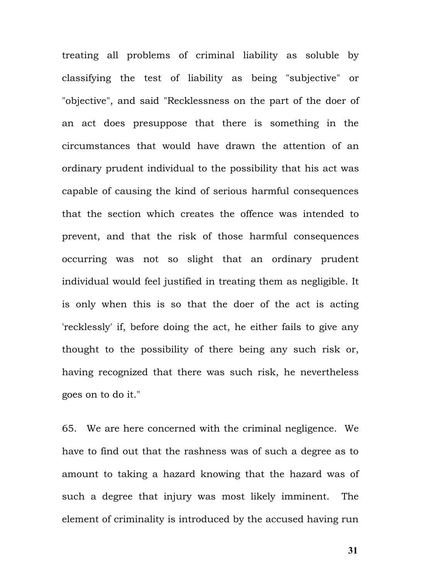treating all problems of criminal liability as soluble by classifying the test of liability as being "subjective" or "objective", and said "Recklessness on the part of the doer of an act does presuppose that there is something in the circumstances that would have drawn the attention of an ordinary prudent individual to the possibility that his act was capable of causing the kind of serious harmful consequences that the section which creates the offence was intended to prevent, and that the risk of those harmful consequences occurring was not so slight that an ordinary prudent individual would feel justified in treating them as negligible. It is only when this is so that the doer of the act is acting 'recklessly' if, before doing the act, he either fails to give any thought to the possibility of there being any such risk or, having recognized that there was such risk, he nevertheless goes on to do it."

65. We are here concerned with the criminal negligence. We have to find out that the rashness was of such a degree as to amount to taking a hazard knowing that the hazard was of such a degree that injury was most likely imminent. The element of criminality is introduced by the accused having run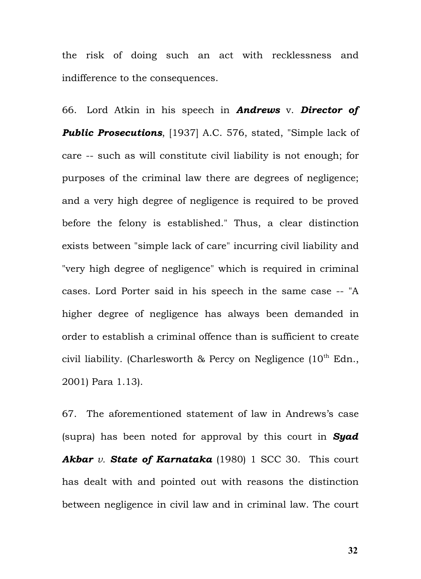the risk of doing such an act with recklessness and indifference to the consequences.

66. Lord Atkin in his speech in *Andrews* v. *Director of Public Prosecutions*, [1937] A.C. 576, stated, "Simple lack of care -- such as will constitute civil liability is not enough; for purposes of the criminal law there are degrees of negligence; and a very high degree of negligence is required to be proved before the felony is established." Thus, a clear distinction exists between "simple lack of care" incurring civil liability and "very high degree of negligence" which is required in criminal cases. Lord Porter said in his speech in the same case -- "A higher degree of negligence has always been demanded in order to establish a criminal offence than is sufficient to create civil liability. (Charlesworth & Percy on Negligence  $(10<sup>th</sup> Edn.)$ 2001) Para 1.13).

67. The aforementioned statement of law in Andrews's case (supra) has been noted for approval by this court in *Syad Akbar v. State of Karnataka* (1980) 1 SCC 30. This court has dealt with and pointed out with reasons the distinction between negligence in civil law and in criminal law. The court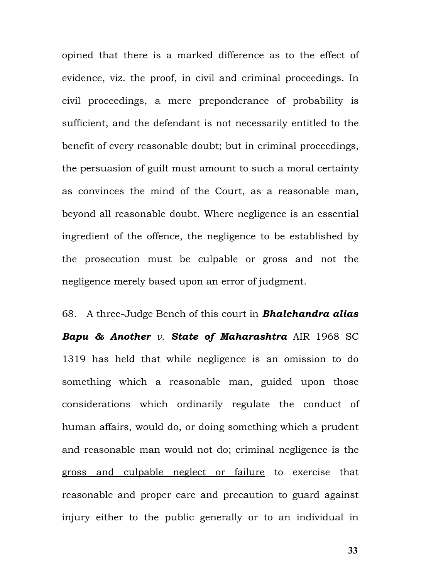opined that there is a marked difference as to the effect of evidence, viz. the proof, in civil and criminal proceedings. In civil proceedings, a mere preponderance of probability is sufficient, and the defendant is not necessarily entitled to the benefit of every reasonable doubt; but in criminal proceedings, the persuasion of guilt must amount to such a moral certainty as convinces the mind of the Court, as a reasonable man, beyond all reasonable doubt. Where negligence is an essential ingredient of the offence, the negligence to be established by the prosecution must be culpable or gross and not the negligence merely based upon an error of judgment.

68. A three-Judge Bench of this court in *Bhalchandra alias Bapu & Another v. State of Maharashtra* AIR 1968 SC 1319 has held that while negligence is an omission to do something which a reasonable man, guided upon those considerations which ordinarily regulate the conduct of human affairs, would do, or doing something which a prudent and reasonable man would not do; criminal negligence is the gross and culpable neglect or failure to exercise that reasonable and proper care and precaution to guard against injury either to the public generally or to an individual in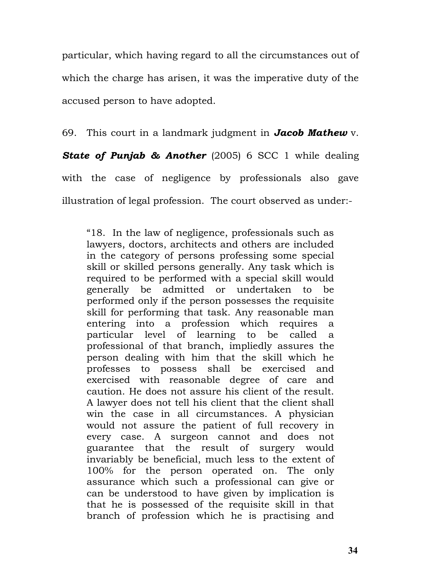particular, which having regard to all the circumstances out of which the charge has arisen, it was the imperative duty of the accused person to have adopted.

69. This court in a landmark judgment in *Jacob Mathew* v. *State of Punjab & Another* (2005) 6 SCC 1 while dealing with the case of negligence by professionals also gave illustration of legal profession. The court observed as under:-

"18. In the law of negligence, professionals such as lawyers, doctors, architects and others are included in the category of persons professing some special skill or skilled persons generally. Any task which is required to be performed with a special skill would generally be admitted or undertaken to be performed only if the person possesses the requisite skill for performing that task. Any reasonable man entering into a profession which requires a particular level of learning to be called a professional of that branch, impliedly assures the person dealing with him that the skill which he professes to possess shall be exercised and exercised with reasonable degree of care and caution. He does not assure his client of the result. A lawyer does not tell his client that the client shall win the case in all circumstances. A physician would not assure the patient of full recovery in every case. A surgeon cannot and does not guarantee that the result of surgery would invariably be beneficial, much less to the extent of 100% for the person operated on. The only assurance which such a professional can give or can be understood to have given by implication is that he is possessed of the requisite skill in that branch of profession which he is practising and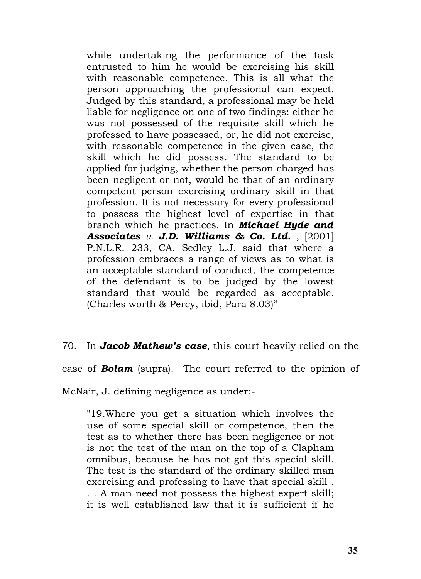while undertaking the performance of the task entrusted to him he would be exercising his skill with reasonable competence. This is all what the person approaching the professional can expect. Judged by this standard, a professional may be held liable for negligence on one of two findings: either he was not possessed of the requisite skill which he professed to have possessed, or, he did not exercise, with reasonable competence in the given case, the skill which he did possess. The standard to be applied for judging, whether the person charged has been negligent or not, would be that of an ordinary competent person exercising ordinary skill in that profession. It is not necessary for every professional to possess the highest level of expertise in that branch which he practices. In *Michael Hyde and Associates v. J.D. Williams & Co. Ltd.* , [2001] P.N.L.R. 233, CA, Sedley L.J. said that where a profession embraces a range of views as to what is an acceptable standard of conduct, the competence of the defendant is to be judged by the lowest standard that would be regarded as acceptable. (Charles worth & Percy, ibid, Para 8.03)"

70. In *Jacob Mathew's case*, this court heavily relied on the case of *Bolam* (supra). The court referred to the opinion of

McNair, J. defining negligence as under:-

"19.Where you get a situation which involves the use of some special skill or competence, then the test as to whether there has been negligence or not is not the test of the man on the top of a Clapham omnibus, because he has not got this special skill. The test is the standard of the ordinary skilled man exercising and professing to have that special skill . . . A man need not possess the highest expert skill; it is well established law that it is sufficient if he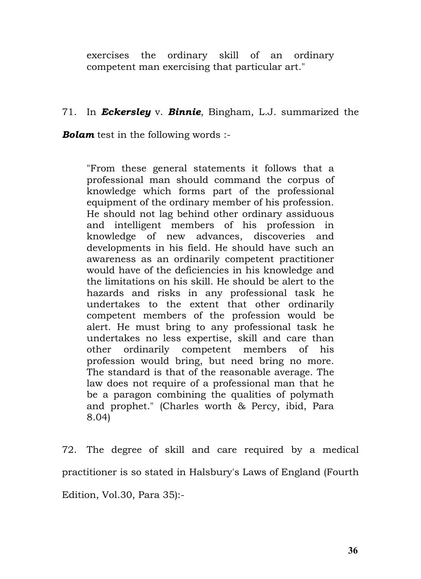exercises the ordinary skill of an ordinary competent man exercising that particular art."

# 71. In *Eckersley* v. *Binnie*, Bingham, L.J. summarized the

*Bolam* test in the following words :-

"From these general statements it follows that a professional man should command the corpus of knowledge which forms part of the professional equipment of the ordinary member of his profession. He should not lag behind other ordinary assiduous and intelligent members of his profession in knowledge of new advances, discoveries and developments in his field. He should have such an awareness as an ordinarily competent practitioner would have of the deficiencies in his knowledge and the limitations on his skill. He should be alert to the hazards and risks in any professional task he undertakes to the extent that other ordinarily competent members of the profession would be alert. He must bring to any professional task he undertakes no less expertise, skill and care than other ordinarily competent members of his profession would bring, but need bring no more. The standard is that of the reasonable average. The law does not require of a professional man that he be a paragon combining the qualities of polymath and prophet." (Charles worth & Percy, ibid, Para 8.04)

72. The degree of skill and care required by a medical practitioner is so stated in Halsbury's Laws of England (Fourth Edition, Vol.30, Para 35):-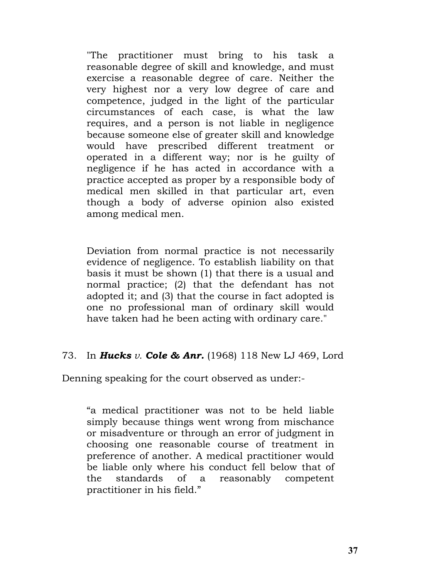"The practitioner must bring to his task a reasonable degree of skill and knowledge, and must exercise a reasonable degree of care. Neither the very highest nor a very low degree of care and competence, judged in the light of the particular circumstances of each case, is what the law requires, and a person is not liable in negligence because someone else of greater skill and knowledge would have prescribed different treatment or operated in a different way; nor is he guilty of negligence if he has acted in accordance with a practice accepted as proper by a responsible body of medical men skilled in that particular art, even though a body of adverse opinion also existed among medical men.

Deviation from normal practice is not necessarily evidence of negligence. To establish liability on that basis it must be shown (1) that there is a usual and normal practice; (2) that the defendant has not adopted it; and (3) that the course in fact adopted is one no professional man of ordinary skill would have taken had he been acting with ordinary care."

## 73. In *Hucks v. Cole & Anr.* (1968) 118 New LJ 469, Lord

Denning speaking for the court observed as under:-

"a medical practitioner was not to be held liable simply because things went wrong from mischance or misadventure or through an error of judgment in choosing one reasonable course of treatment in preference of another. A medical practitioner would be liable only where his conduct fell below that of the standards of a reasonably competent practitioner in his field."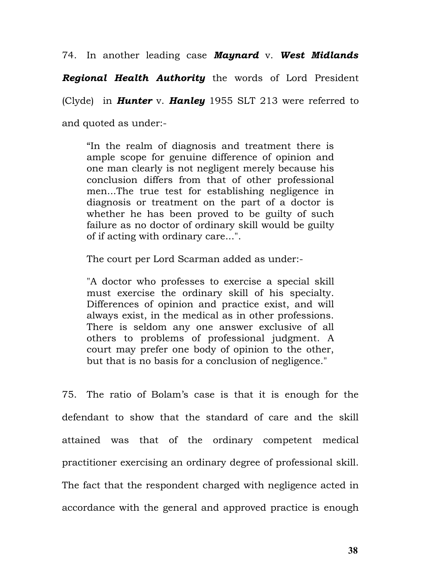74. In another leading case *Maynard* v. *West Midlands*

*Regional Health Authority* the words of Lord President

(Clyde) in *Hunter* v. *Hanley* 1955 SLT 213 were referred to

and quoted as under:-

"In the realm of diagnosis and treatment there is ample scope for genuine difference of opinion and one man clearly is not negligent merely because his conclusion differs from that of other professional men...The true test for establishing negligence in diagnosis or treatment on the part of a doctor is whether he has been proved to be guilty of such failure as no doctor of ordinary skill would be guilty of if acting with ordinary care...".

The court per Lord Scarman added as under:-

"A doctor who professes to exercise a special skill must exercise the ordinary skill of his specialty. Differences of opinion and practice exist, and will always exist, in the medical as in other professions. There is seldom any one answer exclusive of all others to problems of professional judgment. A court may prefer one body of opinion to the other, but that is no basis for a conclusion of negligence."

75. The ratio of Bolam's case is that it is enough for the defendant to show that the standard of care and the skill attained was that of the ordinary competent medical practitioner exercising an ordinary degree of professional skill. The fact that the respondent charged with negligence acted in accordance with the general and approved practice is enough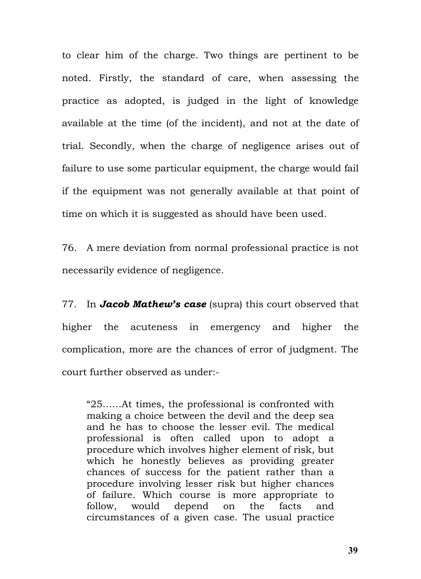to clear him of the charge. Two things are pertinent to be noted. Firstly, the standard of care, when assessing the practice as adopted, is judged in the light of knowledge available at the time (of the incident), and not at the date of trial. Secondly, when the charge of negligence arises out of failure to use some particular equipment, the charge would fail if the equipment was not generally available at that point of time on which it is suggested as should have been used.

76. A mere deviation from normal professional practice is not necessarily evidence of negligence.

77. In *Jacob Mathew's case* (supra) this court observed that higher the acuteness in emergency and higher the complication, more are the chances of error of judgment. The court further observed as under:-

"25……At times, the professional is confronted with making a choice between the devil and the deep sea and he has to choose the lesser evil. The medical professional is often called upon to adopt a procedure which involves higher element of risk, but which he honestly believes as providing greater chances of success for the patient rather than a procedure involving lesser risk but higher chances of failure. Which course is more appropriate to follow, would depend on the facts and circumstances of a given case. The usual practice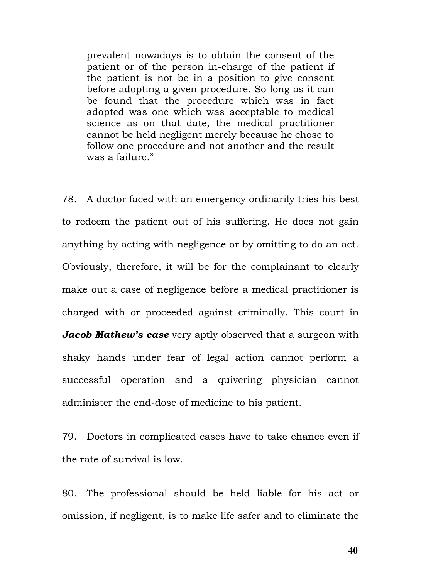prevalent nowadays is to obtain the consent of the patient or of the person in-charge of the patient if the patient is not be in a position to give consent before adopting a given procedure. So long as it can be found that the procedure which was in fact adopted was one which was acceptable to medical science as on that date, the medical practitioner cannot be held negligent merely because he chose to follow one procedure and not another and the result was a failure."

78. A doctor faced with an emergency ordinarily tries his best to redeem the patient out of his suffering. He does not gain anything by acting with negligence or by omitting to do an act. Obviously, therefore, it will be for the complainant to clearly make out a case of negligence before a medical practitioner is charged with or proceeded against criminally. This court in *Jacob Mathew's case* very aptly observed that a surgeon with shaky hands under fear of legal action cannot perform a successful operation and a quivering physician cannot administer the end-dose of medicine to his patient.

79. Doctors in complicated cases have to take chance even if the rate of survival is low.

80. The professional should be held liable for his act or omission, if negligent, is to make life safer and to eliminate the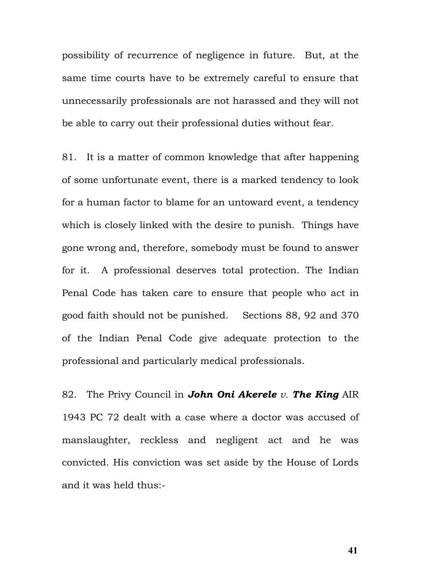possibility of recurrence of negligence in future. But, at the same time courts have to be extremely careful to ensure that unnecessarily professionals are not harassed and they will not be able to carry out their professional duties without fear.

81. It is a matter of common knowledge that after happening of some unfortunate event, there is a marked tendency to look for a human factor to blame for an untoward event, a tendency which is closely linked with the desire to punish. Things have gone wrong and, therefore, somebody must be found to answer for it. A professional deserves total protection. The Indian Penal Code has taken care to ensure that people who act in good faith should not be punished. Sections 88, 92 and 370 of the Indian Penal Code give adequate protection to the professional and particularly medical professionals.

82. The Privy Council in *John Oni Akerele v. The King* AIR 1943 PC 72 dealt with a case where a doctor was accused of manslaughter, reckless and negligent act and he was convicted. His conviction was set aside by the House of Lords and it was held thus:-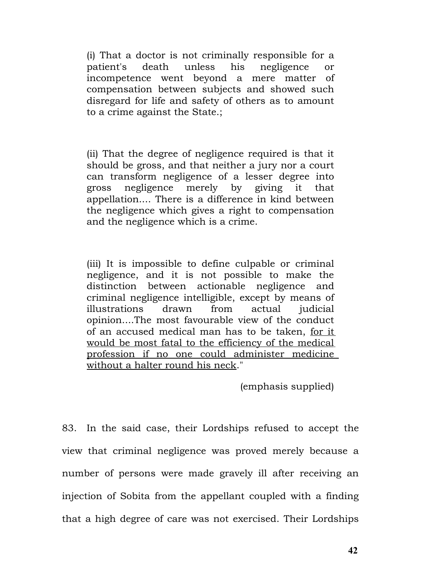(i) That a doctor is not criminally responsible for a patient's death unless his negligence or incompetence went beyond a mere matter of compensation between subjects and showed such disregard for life and safety of others as to amount to a crime against the State.;

(ii) That the degree of negligence required is that it should be gross, and that neither a jury nor a court can transform negligence of a lesser degree into gross negligence merely by giving it that appellation.... There is a difference in kind between the negligence which gives a right to compensation and the negligence which is a crime.

(iii) It is impossible to define culpable or criminal negligence, and it is not possible to make the distinction between actionable negligence and criminal negligence intelligible, except by means of illustrations drawn from actual judicial opinion....The most favourable view of the conduct of an accused medical man has to be taken, for it would be most fatal to the efficiency of the medical profession if no one could administer medicine without a halter round his neck."

(emphasis supplied)

83. In the said case, their Lordships refused to accept the view that criminal negligence was proved merely because a number of persons were made gravely ill after receiving an injection of Sobita from the appellant coupled with a finding that a high degree of care was not exercised. Their Lordships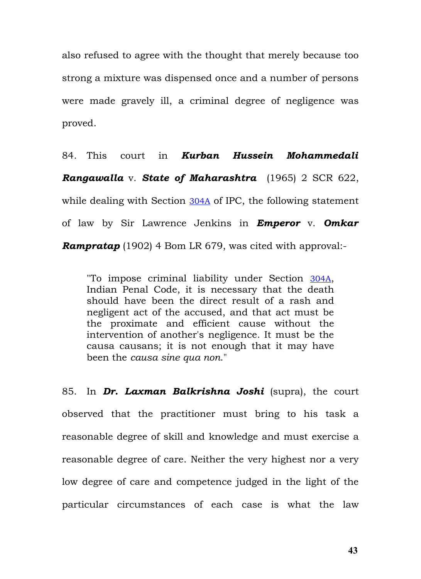also refused to agree with the thought that merely because too strong a mixture was dispensed once and a number of persons were made gravely ill, a criminal degree of negligence was proved.

84. This court in *Kurban Hussein Mohammedali Rangawalla* v. *State of Maharashtra* (1965) 2 SCR 622, while dealing with Section [304A](javascript:fnOpenGlobalPopUp() of IPC, the following statement of law by Sir Lawrence Jenkins in *Emperor* v. *Omkar Rampratap* (1902) 4 Bom LR 679, was cited with approval:-

"To impose criminal liability under Section [304A](javascript:fnOpenGlobalPopUp(), Indian Penal Code, it is necessary that the death should have been the direct result of a rash and negligent act of the accused, and that act must be the proximate and efficient cause without the intervention of another's negligence. It must be the causa causans; it is not enough that it may have been the *causa sine qua non*."

85. In *Dr. Laxman Balkrishna Joshi* (supra), the court observed that the practitioner must bring to his task a reasonable degree of skill and knowledge and must exercise a reasonable degree of care. Neither the very highest nor a very low degree of care and competence judged in the light of the particular circumstances of each case is what the law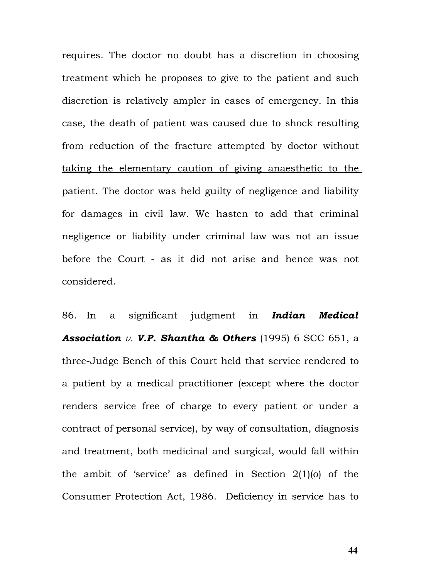requires. The doctor no doubt has a discretion in choosing treatment which he proposes to give to the patient and such discretion is relatively ampler in cases of emergency. In this case, the death of patient was caused due to shock resulting from reduction of the fracture attempted by doctor without taking the elementary caution of giving anaesthetic to the patient. The doctor was held guilty of negligence and liability for damages in civil law. We hasten to add that criminal negligence or liability under criminal law was not an issue before the Court - as it did not arise and hence was not considered.

86. In a significant judgment in *Indian Medical Association v. V.P. Shantha & Others* (1995) 6 SCC 651, a three-Judge Bench of this Court held that service rendered to a patient by a medical practitioner (except where the doctor renders service free of charge to every patient or under a contract of personal service), by way of consultation, diagnosis and treatment, both medicinal and surgical, would fall within the ambit of 'service' as defined in Section 2(1)(o) of the Consumer Protection Act, 1986. Deficiency in service has to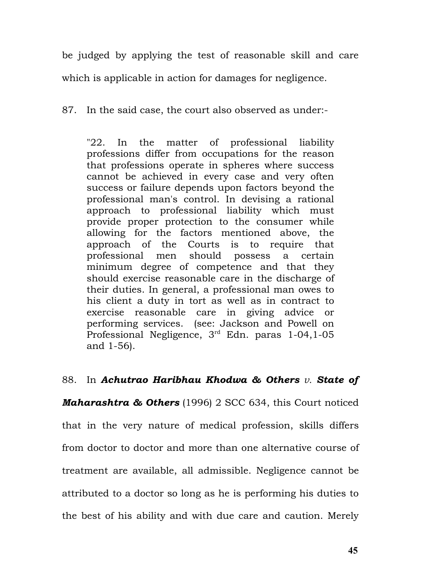be judged by applying the test of reasonable skill and care which is applicable in action for damages for negligence.

87. In the said case, the court also observed as under:-

"22. In the matter of professional liability professions differ from occupations for the reason that professions operate in spheres where success cannot be achieved in every case and very often success or failure depends upon factors beyond the professional man's control. In devising a rational approach to professional liability which must provide proper protection to the consumer while allowing for the factors mentioned above, the approach of the Courts is to require that professional men should possess a certain minimum degree of competence and that they should exercise reasonable care in the discharge of their duties. In general, a professional man owes to his client a duty in tort as well as in contract to exercise reasonable care in giving advice or performing services. (see: Jackson and Powell on Professional Negligence, 3<sup>rd</sup> Edn. paras 1-04,1-05 and 1-56).

## 88. In *Achutrao Haribhau Khodwa & Others v. State of*

*Maharashtra & Others* (1996) 2 SCC 634, this Court noticed that in the very nature of medical profession, skills differs from doctor to doctor and more than one alternative course of treatment are available, all admissible. Negligence cannot be attributed to a doctor so long as he is performing his duties to the best of his ability and with due care and caution. Merely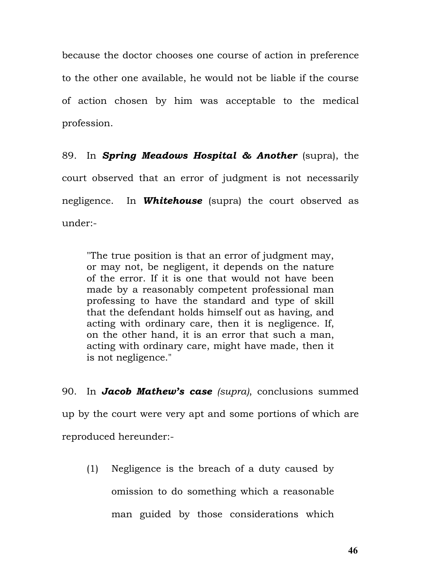because the doctor chooses one course of action in preference to the other one available, he would not be liable if the course of action chosen by him was acceptable to the medical profession.

89. In *Spring Meadows Hospital & Another* (supra), the court observed that an error of judgment is not necessarily negligence. In *Whitehouse* (supra) the court observed as under:-

"The true position is that an error of judgment may, or may not, be negligent, it depends on the nature of the error. If it is one that would not have been made by a reasonably competent professional man professing to have the standard and type of skill that the defendant holds himself out as having, and acting with ordinary care, then it is negligence. If, on the other hand, it is an error that such a man, acting with ordinary care, might have made, then it is not negligence."

90. In *Jacob Mathew's case (supra)*, conclusions summed

up by the court were very apt and some portions of which are reproduced hereunder:-

(1) Negligence is the breach of a duty caused by omission to do something which a reasonable man guided by those considerations which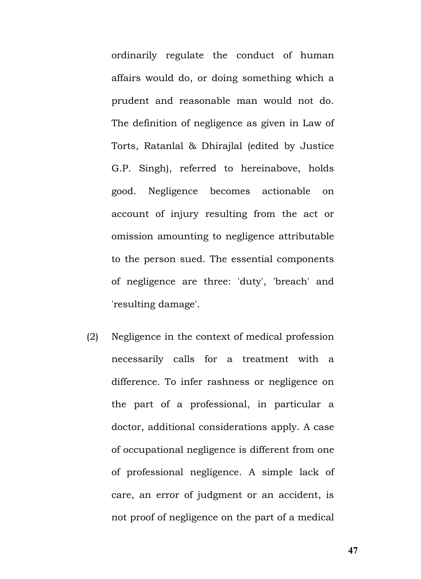ordinarily regulate the conduct of human affairs would do, or doing something which a prudent and reasonable man would not do. The definition of negligence as given in Law of Torts, Ratanlal & Dhirajlal (edited by Justice G.P. Singh), referred to hereinabove, holds good. Negligence becomes actionable on account of injury resulting from the act or omission amounting to negligence attributable to the person sued. The essential components of negligence are three: 'duty', 'breach' and 'resulting damage'.

(2) Negligence in the context of medical profession necessarily calls for a treatment with a difference. To infer rashness or negligence on the part of a professional, in particular a doctor, additional considerations apply. A case of occupational negligence is different from one of professional negligence. A simple lack of care, an error of judgment or an accident, is not proof of negligence on the part of a medical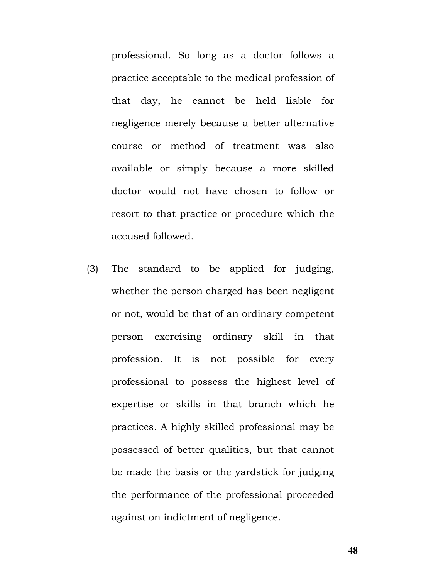professional. So long as a doctor follows a practice acceptable to the medical profession of that day, he cannot be held liable for negligence merely because a better alternative course or method of treatment was also available or simply because a more skilled doctor would not have chosen to follow or resort to that practice or procedure which the accused followed.

(3) The standard to be applied for judging, whether the person charged has been negligent or not, would be that of an ordinary competent person exercising ordinary skill in that profession. It is not possible for every professional to possess the highest level of expertise or skills in that branch which he practices. A highly skilled professional may be possessed of better qualities, but that cannot be made the basis or the yardstick for judging the performance of the professional proceeded against on indictment of negligence.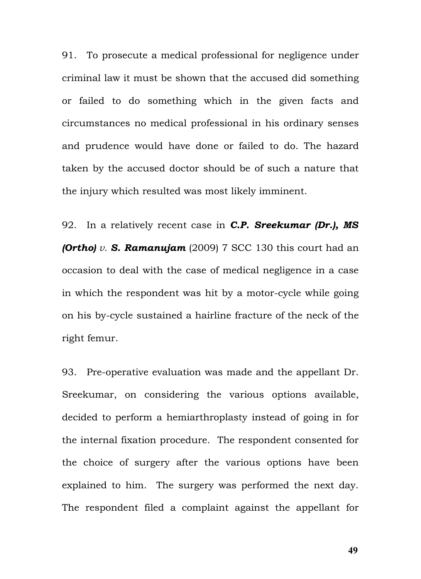91. To prosecute a medical professional for negligence under criminal law it must be shown that the accused did something or failed to do something which in the given facts and circumstances no medical professional in his ordinary senses and prudence would have done or failed to do. The hazard taken by the accused doctor should be of such a nature that the injury which resulted was most likely imminent.

92. In a relatively recent case in *C.P. Sreekumar (Dr.), MS (Ortho) v. S. Ramanujam* (2009) 7 SCC 130 this court had an occasion to deal with the case of medical negligence in a case in which the respondent was hit by a motor-cycle while going on his by-cycle sustained a hairline fracture of the neck of the right femur.

93. Pre-operative evaluation was made and the appellant Dr. Sreekumar, on considering the various options available, decided to perform a hemiarthroplasty instead of going in for the internal fixation procedure. The respondent consented for the choice of surgery after the various options have been explained to him. The surgery was performed the next day. The respondent filed a complaint against the appellant for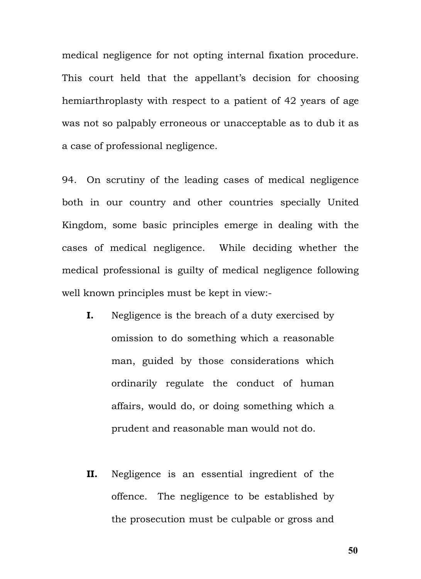medical negligence for not opting internal fixation procedure. This court held that the appellant's decision for choosing hemiarthroplasty with respect to a patient of 42 years of age was not so palpably erroneous or unacceptable as to dub it as a case of professional negligence.

94. On scrutiny of the leading cases of medical negligence both in our country and other countries specially United Kingdom, some basic principles emerge in dealing with the cases of medical negligence. While deciding whether the medical professional is guilty of medical negligence following well known principles must be kept in view:-

- **I.** Negligence is the breach of a duty exercised by omission to do something which a reasonable man, guided by those considerations which ordinarily regulate the conduct of human affairs, would do, or doing something which a prudent and reasonable man would not do.
- **II.** Negligence is an essential ingredient of the offence. The negligence to be established by the prosecution must be culpable or gross and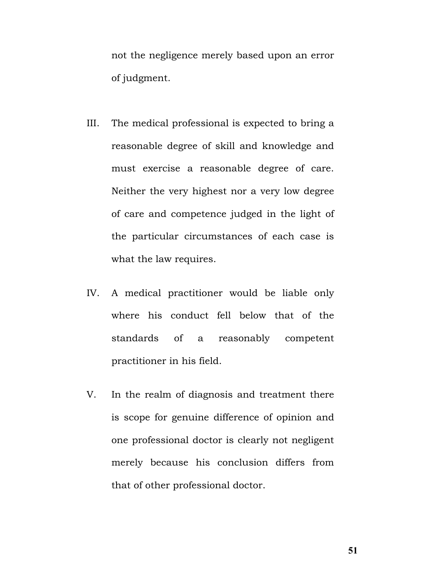not the negligence merely based upon an error of judgment.

- III. The medical professional is expected to bring a reasonable degree of skill and knowledge and must exercise a reasonable degree of care. Neither the very highest nor a very low degree of care and competence judged in the light of the particular circumstances of each case is what the law requires.
- IV. A medical practitioner would be liable only where his conduct fell below that of the standards of a reasonably competent practitioner in his field.
- V. In the realm of diagnosis and treatment there is scope for genuine difference of opinion and one professional doctor is clearly not negligent merely because his conclusion differs from that of other professional doctor.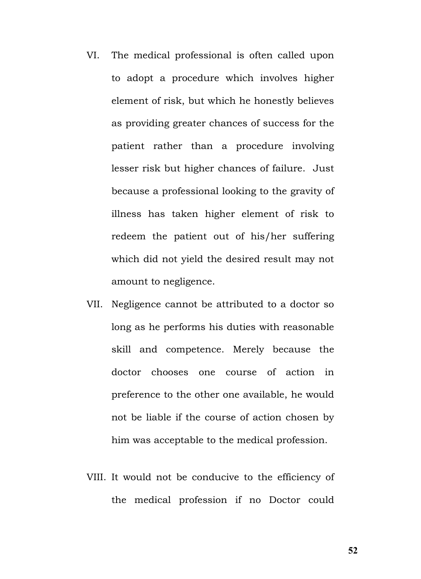- VI. The medical professional is often called upon to adopt a procedure which involves higher element of risk, but which he honestly believes as providing greater chances of success for the patient rather than a procedure involving lesser risk but higher chances of failure. Just because a professional looking to the gravity of illness has taken higher element of risk to redeem the patient out of his/her suffering which did not yield the desired result may not amount to negligence.
- VII. Negligence cannot be attributed to a doctor so long as he performs his duties with reasonable skill and competence. Merely because the doctor chooses one course of action in preference to the other one available, he would not be liable if the course of action chosen by him was acceptable to the medical profession.
- VIII. It would not be conducive to the efficiency of the medical profession if no Doctor could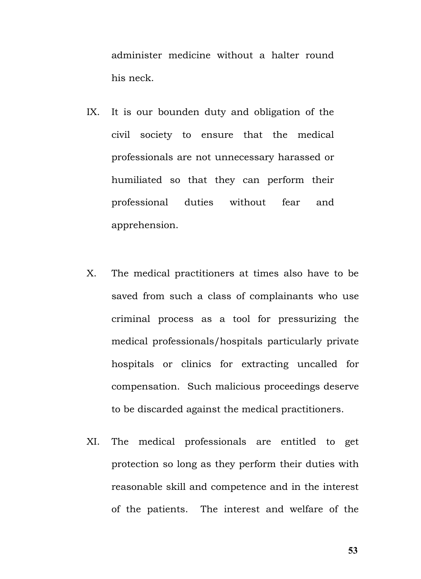administer medicine without a halter round his neck.

- IX. It is our bounden duty and obligation of the civil society to ensure that the medical professionals are not unnecessary harassed or humiliated so that they can perform their professional duties without fear and apprehension.
- X. The medical practitioners at times also have to be saved from such a class of complainants who use criminal process as a tool for pressurizing the medical professionals/hospitals particularly private hospitals or clinics for extracting uncalled for compensation. Such malicious proceedings deserve to be discarded against the medical practitioners.
- XI. The medical professionals are entitled to get protection so long as they perform their duties with reasonable skill and competence and in the interest of the patients. The interest and welfare of the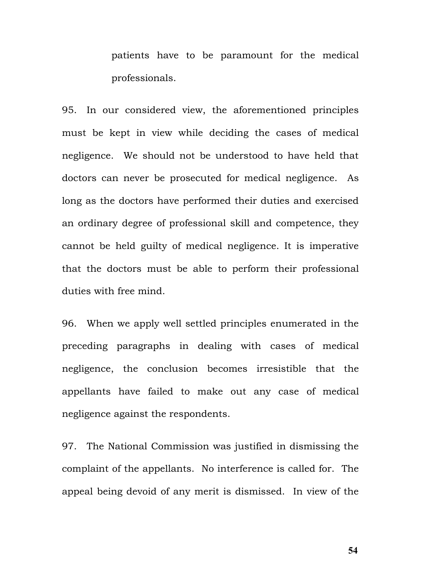patients have to be paramount for the medical professionals.

95. In our considered view, the aforementioned principles must be kept in view while deciding the cases of medical negligence. We should not be understood to have held that doctors can never be prosecuted for medical negligence. As long as the doctors have performed their duties and exercised an ordinary degree of professional skill and competence, they cannot be held guilty of medical negligence. It is imperative that the doctors must be able to perform their professional duties with free mind.

96. When we apply well settled principles enumerated in the preceding paragraphs in dealing with cases of medical negligence, the conclusion becomes irresistible that the appellants have failed to make out any case of medical negligence against the respondents.

97. The National Commission was justified in dismissing the complaint of the appellants. No interference is called for. The appeal being devoid of any merit is dismissed. In view of the